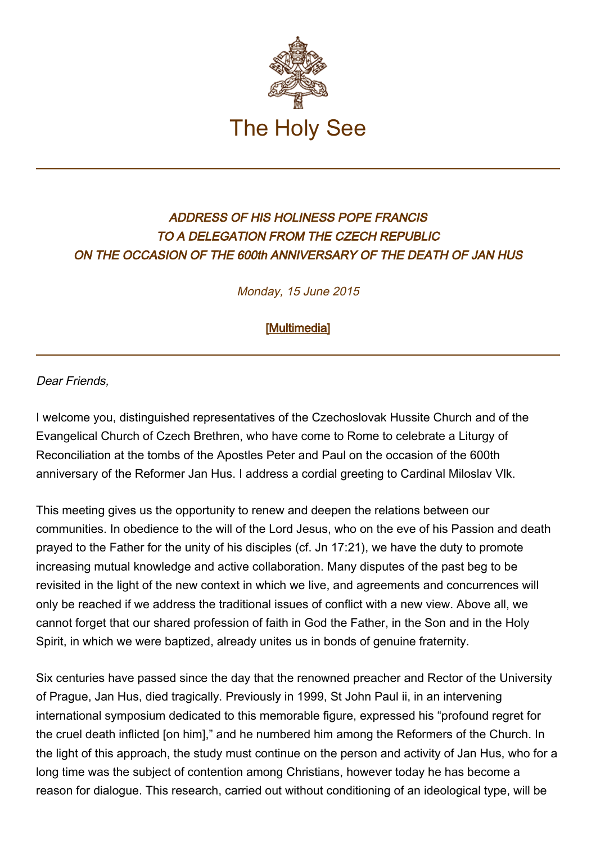

## ADDRESS OF HIS HOLINESS POPE FRANCIS TO A DELEGATION FROM THE CZECH REPUBLIC ON THE OCCASION OF THE 600th ANNIVERSARY OF THE DEATH OF JAN HUS

Monday, 15 June 2015

[\[Multimedia](http://w2.vatican.va/content/francesco/en/events/event.dir.html/content/vaticanevents/en/2015/6/15/repubblicaceca.html)]

Dear Friends,

I welcome you, distinguished representatives of the Czechoslovak Hussite Church and of the Evangelical Church of Czech Brethren, who have come to Rome to celebrate a Liturgy of Reconciliation at the tombs of the Apostles Peter and Paul on the occasion of the 600th anniversary of the Reformer Jan Hus. I address a cordial greeting to Cardinal Miloslav Vlk.

This meeting gives us the opportunity to renew and deepen the relations between our communities. In obedience to the will of the Lord Jesus, who on the eve of his Passion and death prayed to the Father for the unity of his disciples (cf. Jn 17:21), we have the duty to promote increasing mutual knowledge and active collaboration. Many disputes of the past beg to be revisited in the light of the new context in which we live, and agreements and concurrences will only be reached if we address the traditional issues of conflict with a new view. Above all, we cannot forget that our shared profession of faith in God the Father, in the Son and in the Holy Spirit, in which we were baptized, already unites us in bonds of genuine fraternity.

Six centuries have passed since the day that the renowned preacher and Rector of the University of Prague, Jan Hus, died tragically. Previously in 1999, St John Paul ii, in an intervening international symposium dedicated to this memorable figure, expressed his "profound regret for the cruel death inflicted [on him]," and he numbered him among the Reformers of the Church. In the light of this approach, the study must continue on the person and activity of Jan Hus, who for a long time was the subject of contention among Christians, however today he has become a reason for dialogue. This research, carried out without conditioning of an ideological type, will be